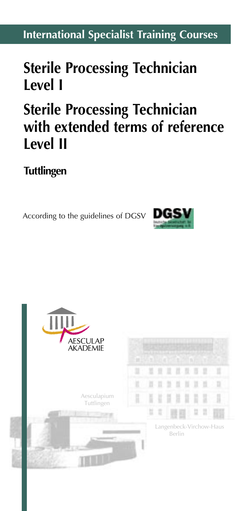## **International Specialist Training Courses**

# **Sterile Processing Technician Level I**

# **Sterile Processing Technician with extended terms of reference Level II**

## **Tuttlingen**

According to the guidelines of DGSV



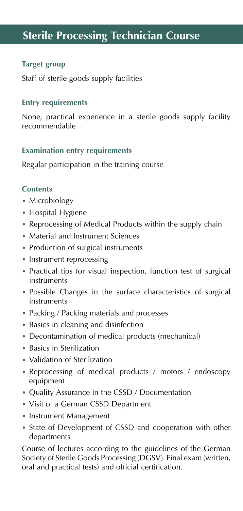## **Sterile Processing Technician Course**

## **Target group**

Staff of sterile goods supply facilities

#### **Entry requirements**

None, practical experience in a sterile goods supply facility recommendable

#### **Examination entry requirements**

Regular participation in the training course

## **Contents**

- Microbiology
- Hospital Hygiene
- Reprocessing of Medical Products within the supply chain
- Material and Instrument Sciences
- Production of surgical instruments
- Instrument reprocessing
- Practical tips for visual inspection, function test of surgical instruments
- Possible Changes in the surface characteristics of surgical instruments
- Packing / Packing materials and processes
- Basics in cleaning and disinfection
- Decontamination of medical products (mechanical)
- Basics in Sterilization
- Validation of Sterilization
- Reprocessing of medical products / motors / endoscopy equipment
- Quality Assurance in the CSSD / Documentation
- Visit of a German CSSD Department
- Instrument Management
- State of Development of CSSD and cooperation with other departments

Course of lectures according to the guidelines of the German Society of Sterile Goods Processing (DGSV). Final exam (written, oral and practical tests) and official certification.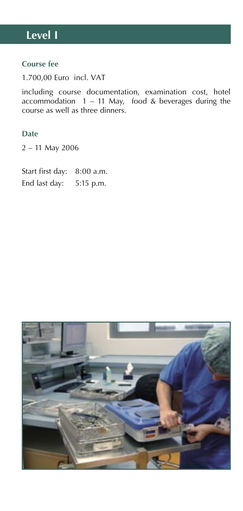## **Level I**

## **Course fee**

1.700,00 Euro incl. VAT

including course documentation, examination cost, hotel accommodation  $1 - 11$  May, food & beverages during the course as well as three dinners.

## **Date**

2 – 11 May 2006

Start first day: 8:00 a.m. End last day: 5:15 p.m.

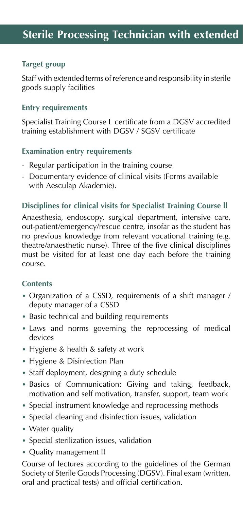## **Target group**

Staff with extended terms of reference and responsibility in sterile goods supply facilities

## **Entry requirements**

Specialist Training Course I certificate from a DGSV accredited training establishment with DGSV / SGSV certificate

## **Examination entry requirements**

- Regular participation in the training course
- Documentary evidence of clinical visits (Forms available with Aesculap Akademie).

## **Disciplines for clinical visits for Specialist Training Course ll**

Anaesthesia, endoscopy, surgical department, intensive care, out-patient/emergency/rescue centre, insofar as the student has no previous knowledge from relevant vocational training (e.g. theatre/anaesthetic nurse). Three of the five clinical disciplines must be visited for at least one day each before the training course.

## **Contents**

- Organization of a CSSD, requirements of a shift manager / deputy manager of a CSSD
- Basic technical and building requirements
- Laws and norms governing the reprocessing of medical devices
- Hygiene & health & safety at work
- Hygiene & Disinfection Plan
- Staff deployment, designing a duty schedule
- Basics of Communication: Giving and taking, feedback, motivation and self motivation, transfer, support, team work
- Special instrument knowledge and reprocessing methods
- Special cleaning and disinfection issues, validation
- Water quality
- Special sterilization issues, validation
- Quality management II

Course of lectures according to the guidelines of the German Society of Sterile Goods Processing (DGSV). Final exam (written, oral and practical tests) and official certification.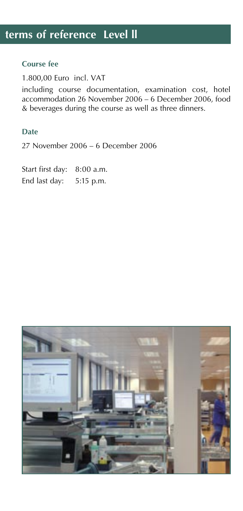## **Course fee**

1.800,00 Euro incl. VAT

including course documentation, examination cost, hotel accommodation 26 November 2006 – 6 December 2006, food & beverages during the course as well as three dinners.

## **Date**

27 November 2006 – 6 December 2006

Start first day: 8:00 a.m. End last day: 5:15 p.m.

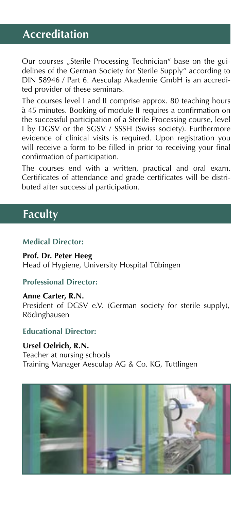## **Accreditation**

Our courses "Sterile Processing Technician" base on the guidelines of the German Society for Sterile Supply" according to DIN 58946 / Part 6. Aesculap Akademie GmbH is an accredited provider of these seminars.

The courses level I and II comprise approx. 80 teaching hours à 45 minutes. Booking of module II requires a confirmation on the successful participation of a Sterile Processing course, level I by DGSV or the SGSV / SSSH (Swiss society). Furthermore evidence of clinical visits is required. Upon registration you will receive a form to be filled in prior to receiving your final confirmation of participation.

The courses end with a written, practical and oral exam. Certificates of attendance and grade certificates will be distributed after successful participation.

## **Faculty**

## **Medical Director:**

**Prof. Dr. Peter Heeg** Head of Hygiene, University Hospital Tübingen

## **Professional Director:**

**Anne Carter, R.N.** President of DGSV e.V. (German society for sterile supply), Rödinghausen

## **Educational Director:**

**Ursel Oelrich, R.N.** Teacher at nursing schools Training Manager Aesculap AG & Co. KG, Tuttlingen

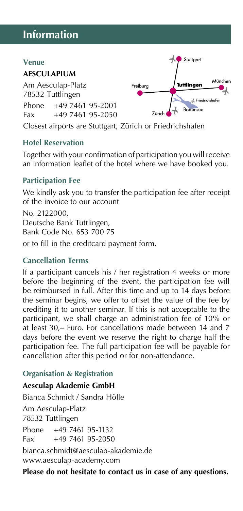## **Information**

#### **Venue**

## **AESCULAPIUM**

Am Aesculap-Platz 78532 Tuttlingen Phone +49 7461 95-2001 Fax +49 7461 95-2050



Closest airports are Stuttgart, Zürich or Friedrichshafen

## **Hotel Reservation**

Together with your confirmation of participation you will receive an information leaflet of the hotel where we have booked you.

## **Participation Fee**

We kindly ask you to transfer the participation fee after receipt of the invoice to our account

No. 2122000, Deutsche Bank Tuttlingen, Bank Code No. 653 700 75

or to fill in the creditcard payment form.

## **Cancellation Terms**

If a participant cancels his / her registration 4 weeks or more before the beginning of the event, the participation fee will be reimbursed in full. After this time and up to 14 days before the seminar begins, we offer to offset the value of the fee by crediting it to another seminar. If this is not acceptable to the participant, we shall charge an administration fee of 10% or at least 30,– Euro. For cancellations made between 14 and 7 days before the event we reserve the right to charge half the participation fee. The full participation fee will be payable for cancellation after this period or for non-attendance.

## **Organisation & Registration**

## **Aesculap Akademie GmbH**

Bianca Schmidt / Sandra Hölle Am Aesculap-Platz 78532 Tuttlingen Phone +49 7461 95-1132  $Fax +49746195-2050$ bianca.schmidt@aesculap-akademie.de

www.aesculap-academy.com

**Please do not hesitate to contact us in case of any questions.**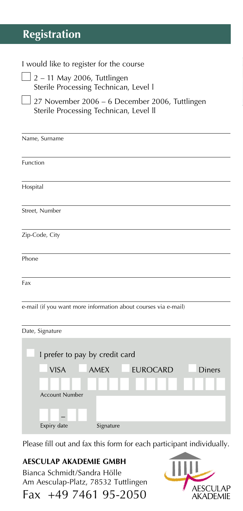## **Registration**

## I would like to register for the course

- $\Box$  2 11 May 2006, Tuttlingen Sterile Processing Technican, Level l
	- 27 November 2006 6 December 2006, Tuttlingen Sterile Processing Technican, Level ll

| Name, Surname                                                  |  |  |  |
|----------------------------------------------------------------|--|--|--|
| Function                                                       |  |  |  |
| Hospital                                                       |  |  |  |
| Street, Number                                                 |  |  |  |
| Zip-Code, City                                                 |  |  |  |
| Phone                                                          |  |  |  |
| Fax                                                            |  |  |  |
| e-mail (if you want more information about courses via e-mail) |  |  |  |
| Date, Signature                                                |  |  |  |

| I prefer to pay by credit card |                  |                 |        |
|--------------------------------|------------------|-----------------|--------|
| <b>VISA</b>                    | <b>AMEX</b>      | <b>EUROCARD</b> | Diners |
|                                | 1   1 <b>  1</b> | . .             |        |
| <b>Account Number</b>          |                  |                 |        |
|                                |                  |                 |        |
| Expiry date                    | Signature        |                 |        |

Please fill out and fax this form for each participant individually.

**AESCULAP AKADEMIE GMBH** Bianca Schmidt/Sandra Hölle Am Aesculap-Platz, 78532 Tuttlingen

Fax +49 7461 95-2050

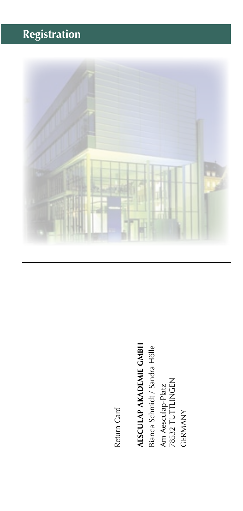# **Registration**



Return Card Return Card

# **AESCULAP AKADEMIE GMBH**

**AESCULAP AKADEMIE GMBH**<br>Bianca Schmidt / Sandra Hölle Bianca Schmidt / Sandra Hölle Am Aesculap-Platz<br>78532 TUTTLINGEN<br>GERMANY 78532 TUTTLINGEN Am Aesculap-Platz GERMANY